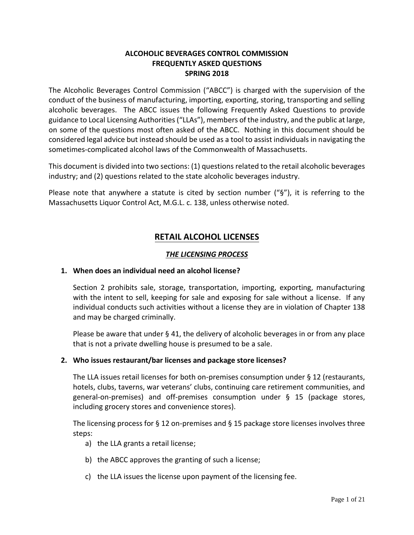## **ALCOHOLIC BEVERAGES CONTROL COMMISSION FREQUENTLY ASKED QUESTIONS SPRING 2018**

The Alcoholic Beverages Control Commission ("ABCC") is charged with the supervision of the conduct of the business of manufacturing, importing, exporting, storing, transporting and selling alcoholic beverages. The ABCC issues the following Frequently Asked Questions to provide guidance to Local Licensing Authorities ("LLAs"), members of the industry, and the public at large, on some of the questions most often asked of the ABCC. Nothing in this document should be considered legal advice but instead should be used as a tool to assist individuals in navigating the sometimes-complicated alcohol laws of the Commonwealth of Massachusetts.

This document is divided into two sections: (1) questions related to the retail alcoholic beverages industry; and (2) questions related to the state alcoholic beverages industry.

Please note that anywhere a statute is cited by section number ("§"), it is referring to the Massachusetts Liquor Control Act, M.G.L. c. 138, unless otherwise noted.

# **RETAIL ALCOHOL LICENSES**

# *THE LICENSING PROCESS*

## **1. When does an individual need an alcohol license?**

Section 2 prohibits sale, storage, transportation, importing, exporting, manufacturing with the intent to sell, keeping for sale and exposing for sale without a license. If any individual conducts such activities without a license they are in violation of Chapter 138 and may be charged criminally.

Please be aware that under § 41, the delivery of alcoholic beverages in or from any place that is not a private dwelling house is presumed to be a sale.

## **2. Who issues restaurant/bar licenses and package store licenses?**

The LLA issues retail licenses for both on-premises consumption under § 12 (restaurants, hotels, clubs, taverns, war veterans' clubs, continuing care retirement communities, and general-on-premises) and off-premises consumption under § 15 (package stores, including grocery stores and convenience stores).

The licensing process for § 12 on-premises and § 15 package store licenses involves three steps:

- a) the LLA grants a retail license;
- b) the ABCC approves the granting of such a license;
- c) the LLA issues the license upon payment of the licensing fee.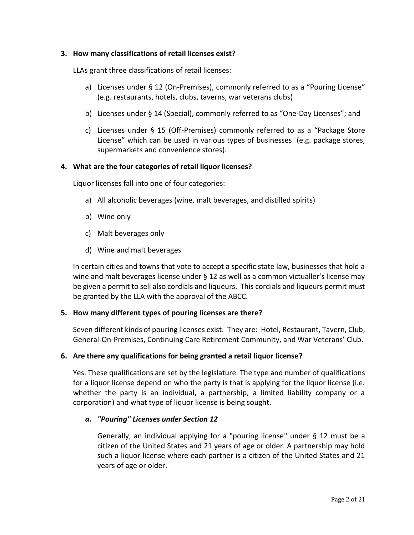## **3. How many classifications of retail licenses exist?**

LLAs grant three classifications of retail licenses:

- a) Licenses under § 12 (On-Premises), commonly referred to as a "Pouring License" (e.g. restaurants, hotels, clubs, taverns, war veterans clubs)
- b) Licenses under § 14 (Special), commonly referred to as "One-Day Licenses"; and
- c) Licenses under § 15 (Off-Premises) commonly referred to as a "Package Store License" which can be used in various types of businesses (e.g. package stores, supermarkets and convenience stores).

### **4. What are the four categories of retail liquor licenses?**

Liquor licenses fall into one of four categories:

- a) All alcoholic beverages (wine, malt beverages, and distilled spirits)
- b) Wine only
- c) Malt beverages only
- d) Wine and malt beverages

In certain cities and towns that vote to accept a specific state law, businesses that hold a wine and malt beverages license under § 12 as well as a common victualler's license may be given a permit to sell also cordials and liqueurs. This cordials and liqueurs permit must be granted by the LLA with the approval of the ABCC.

#### **5. How many different types of pouring licenses are there?**

Seven different kinds of pouring licenses exist. They are: Hotel, Restaurant, Tavern, Club, General-On-Premises, Continuing Care Retirement Community, and War Veterans' Club.

#### **6. Are there any qualifications for being granted a retail liquor license?**

Yes. These qualifications are set by the legislature. The type and number of qualifications for a liquor license depend on who the party is that is applying for the liquor license (i.e. whether the party is an individual, a partnership, a limited liability company or a corporation) and what type of liquor license is being sought.

#### *a. "Pouring" Licenses under Section 12*

Generally, an individual applying for a "pouring license" under § 12 must be a citizen of the United States and 21 years of age or older. A partnership may hold such a liquor license where each partner is a citizen of the United States and 21 years of age or older.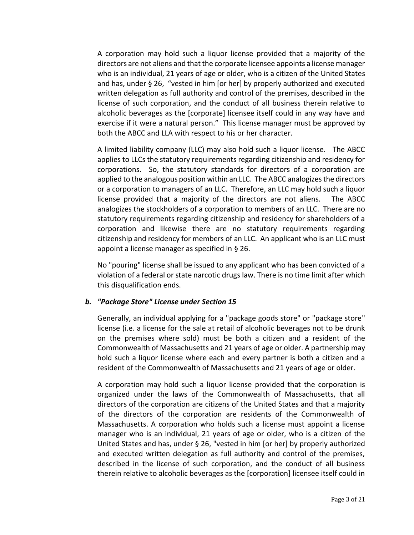A corporation may hold such a liquor license provided that a majority of the directors are not aliens and that the corporate licensee appoints a license manager who is an individual, 21 years of age or older, who is a citizen of the United States and has, under § 26, "vested in him [or her] by properly authorized and executed written delegation as full authority and control of the premises, described in the license of such corporation, and the conduct of all business therein relative to alcoholic beverages as the [corporate] licensee itself could in any way have and exercise if it were a natural person." This license manager must be approved by both the ABCC and LLA with respect to his or her character.

A limited liability company (LLC) may also hold such a liquor license. The ABCC applies to LLCs the statutory requirements regarding citizenship and residency for corporations. So, the statutory standards for directors of a corporation are applied to the analogous position within an LLC. The ABCC analogizes the directors or a corporation to managers of an LLC. Therefore, an LLC may hold such a liquor license provided that a majority of the directors are not aliens. The ABCC analogizes the stockholders of a corporation to members of an LLC. There are no statutory requirements regarding citizenship and residency for shareholders of a corporation and likewise there are no statutory requirements regarding citizenship and residency for members of an LLC. An applicant who is an LLC must appoint a license manager as specified in § 26.

No "pouring" license shall be issued to any applicant who has been convicted of a violation of a federal or state narcotic drugs law. There is no time limit after which this disqualification ends.

## *b. "Package Store" License under Section 15*

Generally, an individual applying for a "package goods store" or "package store" license (i.e. a license for the sale at retail of alcoholic beverages not to be drunk on the premises where sold) must be both a citizen and a resident of the Commonwealth of Massachusetts and 21 years of age or older. A partnership may hold such a liquor license where each and every partner is both a citizen and a resident of the Commonwealth of Massachusetts and 21 years of age or older.

A corporation may hold such a liquor license provided that the corporation is organized under the laws of the Commonwealth of Massachusetts, that all directors of the corporation are citizens of the United States and that a majority of the directors of the corporation are residents of the Commonwealth of Massachusetts. A corporation who holds such a license must appoint a license manager who is an individual, 21 years of age or older, who is a citizen of the United States and has, under § 26, "vested in him [or her] by properly authorized and executed written delegation as full authority and control of the premises, described in the license of such corporation, and the conduct of all business therein relative to alcoholic beverages as the [corporation] licensee itself could in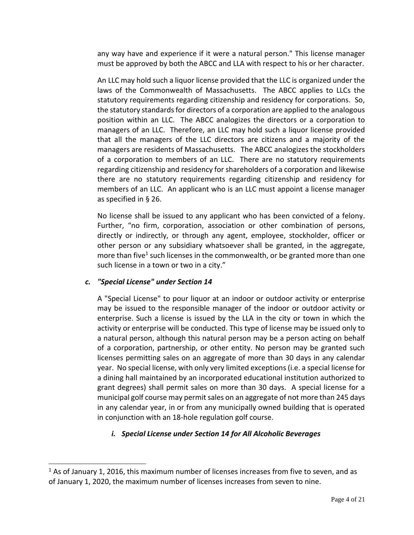any way have and experience if it were a natural person." This license manager must be approved by both the ABCC and LLA with respect to his or her character.

An LLC may hold such a liquor license provided that the LLC is organized under the laws of the Commonwealth of Massachusetts. The ABCC applies to LLCs the statutory requirements regarding citizenship and residency for corporations. So, the statutory standards for directors of a corporation are applied to the analogous position within an LLC. The ABCC analogizes the directors or a corporation to managers of an LLC. Therefore, an LLC may hold such a liquor license provided that all the managers of the LLC directors are citizens and a majority of the managers are residents of Massachusetts. The ABCC analogizes the stockholders of a corporation to members of an LLC. There are no statutory requirements regarding citizenship and residency for shareholders of a corporation and likewise there are no statutory requirements regarding citizenship and residency for members of an LLC. An applicant who is an LLC must appoint a license manager as specified in § 26.

No license shall be issued to any applicant who has been convicted of a felony. Further, "no firm, corporation, association or other combination of persons, directly or indirectly, or through any agent, employee, stockholder, officer or other person or any subsidiary whatsoever shall be granted, in the aggregate, more than five<sup>1</sup> such licenses in the commonwealth, or be granted more than one such license in a town or two in a city."

## *c. "Special License" under Section 14*

 $\overline{a}$ 

A "Special License" to pour liquor at an indoor or outdoor activity or enterprise may be issued to the responsible manager of the indoor or outdoor activity or enterprise. Such a license is issued by the LLA in the city or town in which the activity or enterprise will be conducted. This type of license may be issued only to a natural person, although this natural person may be a person acting on behalf of a corporation, partnership, or other entity. No person may be granted such licenses permitting sales on an aggregate of more than 30 days in any calendar year. No special license, with only very limited exceptions (i.e. a special license for a dining hall maintained by an incorporated educational institution authorized to grant degrees) shall permit sales on more than 30 days. A special license for a municipal golf course may permit sales on an aggregate of not more than 245 days in any calendar year, in or from any municipally owned building that is operated in conjunction with an 18-hole regulation golf course.

# *i. Special License under Section 14 for All Alcoholic Beverages*

 $1$  As of January 1, 2016, this maximum number of licenses increases from five to seven, and as of January 1, 2020, the maximum number of licenses increases from seven to nine.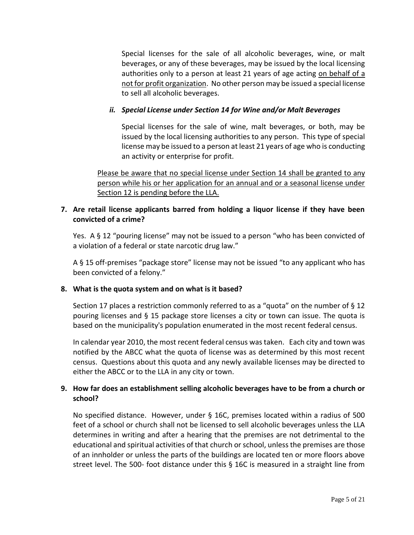Special licenses for the sale of all alcoholic beverages, wine, or malt beverages, or any of these beverages, may be issued by the local licensing authorities only to a person at least 21 years of age acting on behalf of a not for profit organization. No other person may be issued a special license to sell all alcoholic beverages.

# *ii. Special License under Section 14 for Wine and/or Malt Beverages*

Special licenses for the sale of wine, malt beverages, or both, may be issued by the local licensing authorities to any person. This type of special license may be issued to a person at least 21 years of age who is conducting an activity or enterprise for profit.

Please be aware that no special license under Section 14 shall be granted to any person while his or her application for an annual and or a seasonal license under Section 12 is pending before the LLA.

# **7. Are retail license applicants barred from holding a liquor license if they have been convicted of a crime?**

Yes. A § 12 "pouring license" may not be issued to a person "who has been convicted of a violation of a federal or state narcotic drug law."

A § 15 off-premises "package store" license may not be issued "to any applicant who has been convicted of a felony."

## **8. What is the quota system and on what is it based?**

Section 17 places a restriction commonly referred to as a "quota" on the number of § 12 pouring licenses and § 15 package store licenses a city or town can issue. The quota is based on the municipality's population enumerated in the most recent federal census.

In calendar year 2010, the most recent federal census was taken. Each city and town was notified by the ABCC what the quota of license was as determined by this most recent census. Questions about this quota and any newly available licenses may be directed to either the ABCC or to the LLA in any city or town.

# **9. How far does an establishment selling alcoholic beverages have to be from a church or school?**

No specified distance. However, under § 16C, premises located within a radius of 500 feet of a school or church shall not be licensed to sell alcoholic beverages unless the LLA determines in writing and after a hearing that the premises are not detrimental to the educational and spiritual activities of that church or school, unless the premises are those of an innholder or unless the parts of the buildings are located ten or more floors above street level. The 500- foot distance under this § 16C is measured in a straight line from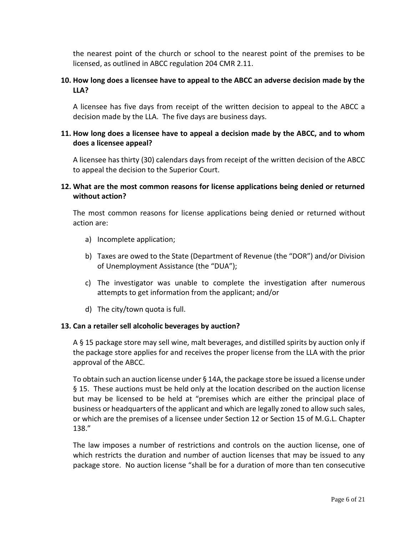the nearest point of the church or school to the nearest point of the premises to be licensed, as outlined in ABCC regulation 204 CMR 2.11.

# **10. How long does a licensee have to appeal to the ABCC an adverse decision made by the LLA?**

A licensee has five days from receipt of the written decision to appeal to the ABCC a decision made by the LLA. The five days are business days.

# **11. How long does a licensee have to appeal a decision made by the ABCC, and to whom does a licensee appeal?**

A licensee has thirty (30) calendars days from receipt of the written decision of the ABCC to appeal the decision to the Superior Court.

# **12. What are the most common reasons for license applications being denied or returned without action?**

The most common reasons for license applications being denied or returned without action are:

- a) Incomplete application;
- b) Taxes are owed to the State (Department of Revenue (the "DOR") and/or Division of Unemployment Assistance (the "DUA");
- c) The investigator was unable to complete the investigation after numerous attempts to get information from the applicant; and/or
- d) The city/town quota is full.

## **13. Can a retailer sell alcoholic beverages by auction?**

A § 15 package store may sell wine, malt beverages, and distilled spirits by auction only if the package store applies for and receives the proper license from the LLA with the prior approval of the ABCC.

To obtain such an auction license under § 14A, the package store be issued a license under § 15. These auctions must be held only at the location described on the auction license but may be licensed to be held at "premises which are either the principal place of business or headquarters of the applicant and which are legally zoned to allow such sales, or which are the premises of a licensee under Section 12 or Section 15 of M.G.L. Chapter 138."

The law imposes a number of restrictions and controls on the auction license, one of which restricts the duration and number of auction licenses that may be issued to any package store. No auction license "shall be for a duration of more than ten consecutive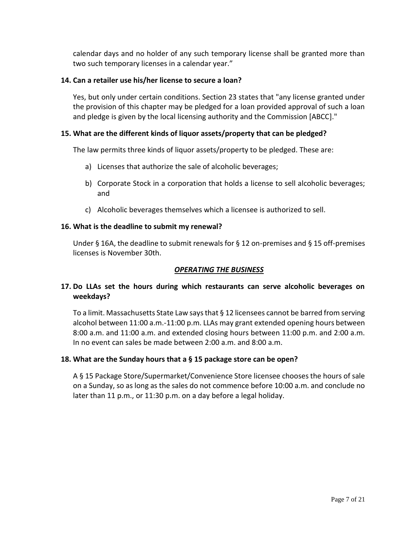calendar days and no holder of any such temporary license shall be granted more than two such temporary licenses in a calendar year."

### **14. Can a retailer use his/her license to secure a loan?**

Yes, but only under certain conditions. Section 23 states that "any license granted under the provision of this chapter may be pledged for a loan provided approval of such a loan and pledge is given by the local licensing authority and the Commission [ABCC]."

### **15. What are the different kinds of liquor assets/property that can be pledged?**

The law permits three kinds of liquor assets/property to be pledged. These are:

- a) Licenses that authorize the sale of alcoholic beverages;
- b) Corporate Stock in a corporation that holds a license to sell alcoholic beverages; and
- c) Alcoholic beverages themselves which a licensee is authorized to sell.

### **16. What is the deadline to submit my renewal?**

Under § 16A, the deadline to submit renewals for § 12 on-premises and § 15 off-premises licenses is November 30th.

## *OPERATING THE BUSINESS*

# **17. Do LLAs set the hours during which restaurants can serve alcoholic beverages on weekdays?**

To a limit. Massachusetts State Law says that § 12 licensees cannot be barred from serving alcohol between 11:00 a.m.-11:00 p.m. LLAs may grant extended opening hours between 8:00 a.m. and 11:00 a.m. and extended closing hours between 11:00 p.m. and 2:00 a.m. In no event can sales be made between 2:00 a.m. and 8:00 a.m.

#### **18. What are the Sunday hours that a § 15 package store can be open?**

A § 15 Package Store/Supermarket/Convenience Store licensee chooses the hours of sale on a Sunday, so as long as the sales do not commence before 10:00 a.m. and conclude no later than 11 p.m., or 11:30 p.m. on a day before a legal holiday.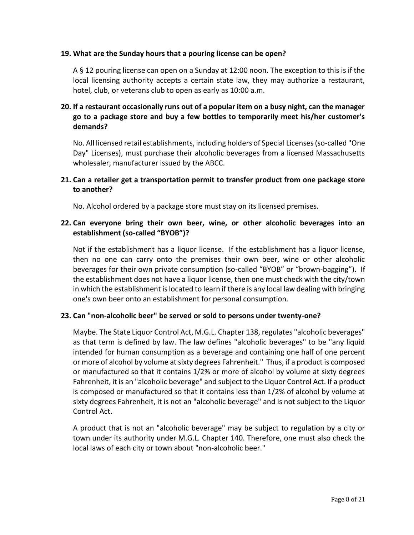### **19. What are the Sunday hours that a pouring license can be open?**

A § 12 pouring license can open on a Sunday at 12:00 noon. The exception to this is if the local licensing authority accepts a certain state law, they may authorize a restaurant, hotel, club, or veterans club to open as early as 10:00 a.m.

# **20. If a restaurant occasionally runs out of a popular item on a busy night, can the manager go to a package store and buy a few bottles to temporarily meet his/her customer's demands?**

No. All licensed retail establishments, including holders of Special Licenses (so-called "One Day" Licenses), must purchase their alcoholic beverages from a licensed Massachusetts wholesaler, manufacturer issued by the ABCC.

# **21. Can a retailer get a transportation permit to transfer product from one package store to another?**

No. Alcohol ordered by a package store must stay on its licensed premises.

# **22. Can everyone bring their own beer, wine, or other alcoholic beverages into an establishment (so-called "BYOB")?**

Not if the establishment has a liquor license. If the establishment has a liquor license, then no one can carry onto the premises their own beer, wine or other alcoholic beverages for their own private consumption (so-called "BYOB" or "brown-bagging"). If the establishment does not have a liquor license, then one must check with the city/town in which the establishment is located to learn if there is any local law dealing with bringing one's own beer onto an establishment for personal consumption.

## **23. Can "non-alcoholic beer" be served or sold to persons under twenty-one?**

Maybe. The State Liquor Control Act, M.G.L. Chapter 138, regulates "alcoholic beverages" as that term is defined by law. The law defines "alcoholic beverages" to be "any liquid intended for human consumption as a beverage and containing one half of one percent or more of alcohol by volume at sixty degrees Fahrenheit." Thus, if a product is composed or manufactured so that it contains 1/2% or more of alcohol by volume at sixty degrees Fahrenheit, it is an "alcoholic beverage" and subject to the Liquor Control Act. If a product is composed or manufactured so that it contains less than 1/2% of alcohol by volume at sixty degrees Fahrenheit, it is not an "alcoholic beverage" and is not subject to the Liquor Control Act.

A product that is not an "alcoholic beverage" may be subject to regulation by a city or town under its authority under M.G.L. Chapter 140. Therefore, one must also check the local laws of each city or town about "non-alcoholic beer."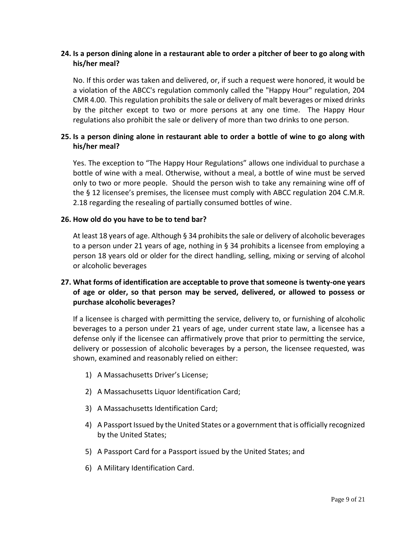# **24. Is a person dining alone in a restaurant able to order a pitcher of beer to go along with his/her meal?**

No. If this order was taken and delivered, or, if such a request were honored, it would be a violation of the ABCC's regulation commonly called the "Happy Hour" regulation, 204 CMR 4.00. This regulation prohibits the sale or delivery of malt beverages or mixed drinks by the pitcher except to two or more persons at any one time. The Happy Hour regulations also prohibit the sale or delivery of more than two drinks to one person.

# **25. Is a person dining alone in restaurant able to order a bottle of wine to go along with his/her meal?**

Yes. The exception to "The Happy Hour Regulations" allows one individual to purchase a bottle of wine with a meal. Otherwise, without a meal, a bottle of wine must be served only to two or more people. Should the person wish to take any remaining wine off of the § 12 licensee's premises, the licensee must comply with ABCC regulation 204 C.M.R. 2.18 regarding the resealing of partially consumed bottles of wine.

## **26. How old do you have to be to tend bar?**

At least 18 years of age. Although § 34 prohibits the sale or delivery of alcoholic beverages to a person under 21 years of age, nothing in § 34 prohibits a licensee from employing a person 18 years old or older for the direct handling, selling, mixing or serving of alcohol or alcoholic beverages

# **27. What forms of identification are acceptable to prove that someone is twenty-one years of age or older, so that person may be served, delivered, or allowed to possess or purchase alcoholic beverages?**

If a licensee is charged with permitting the service, delivery to, or furnishing of alcoholic beverages to a person under 21 years of age, under current state law, a licensee has a defense only if the licensee can affirmatively prove that prior to permitting the service, delivery or possession of alcoholic beverages by a person, the licensee requested, was shown, examined and reasonably relied on either:

- 1) A Massachusetts Driver's License;
- 2) A Massachusetts Liquor Identification Card;
- 3) A Massachusetts Identification Card;
- 4) A Passport Issued by the United States or a government that is officially recognized by the United States;
- 5) A Passport Card for a Passport issued by the United States; and
- 6) A Military Identification Card.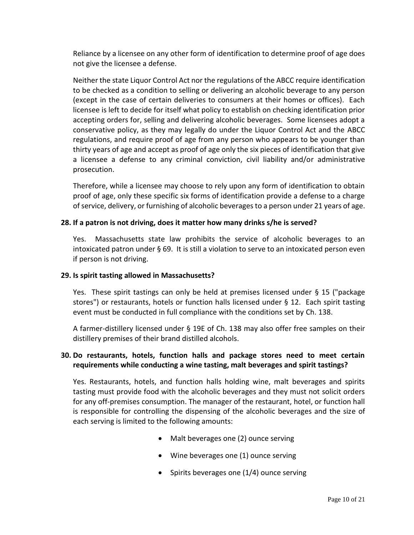Reliance by a licensee on any other form of identification to determine proof of age does not give the licensee a defense.

Neither the state Liquor Control Act nor the regulations of the ABCC require identification to be checked as a condition to selling or delivering an alcoholic beverage to any person (except in the case of certain deliveries to consumers at their homes or offices). Each licensee is left to decide for itself what policy to establish on checking identification prior accepting orders for, selling and delivering alcoholic beverages. Some licensees adopt a conservative policy, as they may legally do under the Liquor Control Act and the ABCC regulations, and require proof of age from any person who appears to be younger than thirty years of age and accept as proof of age only the six pieces of identification that give a licensee a defense to any criminal conviction, civil liability and/or administrative prosecution.

Therefore, while a licensee may choose to rely upon any form of identification to obtain proof of age, only these specific six forms of identification provide a defense to a charge of service, delivery, or furnishing of alcoholic beverages to a person under 21 years of age.

### **28. If a patron is not driving, does it matter how many drinks s/he is served?**

Yes. Massachusetts state law prohibits the service of alcoholic beverages to an intoxicated patron under § 69. It is still a violation to serve to an intoxicated person even if person is not driving.

#### **29. Is spirit tasting allowed in Massachusetts?**

Yes. These spirit tastings can only be held at premises licensed under § 15 ("package stores") or restaurants, hotels or function halls licensed under § 12. Each spirit tasting event must be conducted in full compliance with the conditions set by Ch. 138.

A farmer-distillery licensed under § 19E of Ch. 138 may also offer free samples on their distillery premises of their brand distilled alcohols.

# **30. Do restaurants, hotels, function halls and package stores need to meet certain requirements while conducting a wine tasting, malt beverages and spirit tastings?**

Yes. Restaurants, hotels, and function halls holding wine, malt beverages and spirits tasting must provide food with the alcoholic beverages and they must not solicit orders for any off-premises consumption. The manager of the restaurant, hotel, or function hall is responsible for controlling the dispensing of the alcoholic beverages and the size of each serving is limited to the following amounts:

- Malt beverages one (2) ounce serving
- Wine beverages one (1) ounce serving
- Spirits beverages one (1/4) ounce serving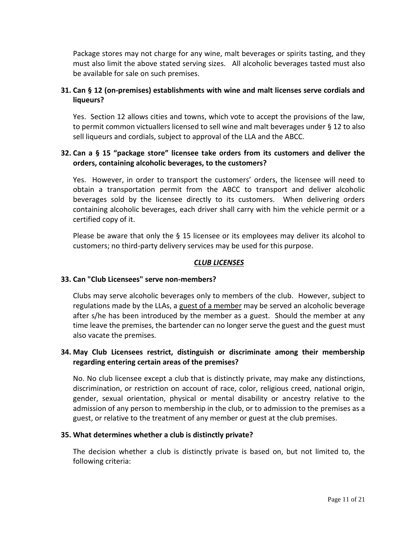Package stores may not charge for any wine, malt beverages or spirits tasting, and they must also limit the above stated serving sizes. All alcoholic beverages tasted must also be available for sale on such premises.

# **31. Can § 12 (on-premises) establishments with wine and malt licenses serve cordials and liqueurs?**

Yes. Section 12 allows cities and towns, which vote to accept the provisions of the law, to permit common victuallers licensed to sell wine and malt beverages under § 12 to also sell liqueurs and cordials, subject to approval of the LLA and the ABCC.

# **32. Can a § 15 "package store" licensee take orders from its customers and deliver the orders, containing alcoholic beverages, to the customers?**

Yes. However, in order to transport the customers' orders, the licensee will need to obtain a transportation permit from the ABCC to transport and deliver alcoholic beverages sold by the licensee directly to its customers. When delivering orders containing alcoholic beverages, each driver shall carry with him the vehicle permit or a certified copy of it.

Please be aware that only the § 15 licensee or its employees may deliver its alcohol to customers; no third-party delivery services may be used for this purpose.

# *CLUB LICENSES*

## **33. Can "Club Licensees" serve non-members?**

Clubs may serve alcoholic beverages only to members of the club. However, subject to regulations made by the LLAs, a guest of a member may be served an alcoholic beverage after s/he has been introduced by the member as a guest. Should the member at any time leave the premises, the bartender can no longer serve the guest and the guest must also vacate the premises.

# **34. May Club Licensees restrict, distinguish or discriminate among their membership regarding entering certain areas of the premises?**

No. No club licensee except a club that is distinctly private, may make any distinctions, discrimination, or restriction on account of race, color, religious creed, national origin, gender, sexual orientation, physical or mental disability or ancestry relative to the admission of any person to membership in the club, or to admission to the premises as a guest, or relative to the treatment of any member or guest at the club premises.

## **35. What determines whether a club is distinctly private?**

The decision whether a club is distinctly private is based on, but not limited to, the following criteria: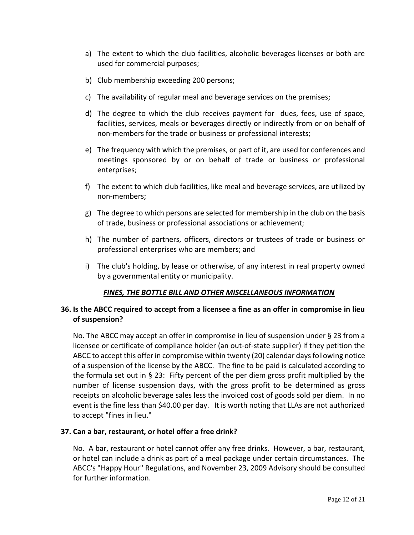- a) The extent to which the club facilities, alcoholic beverages licenses or both are used for commercial purposes;
- b) Club membership exceeding 200 persons;
- c) The availability of regular meal and beverage services on the premises;
- d) The degree to which the club receives payment for dues, fees, use of space, facilities, services, meals or beverages directly or indirectly from or on behalf of non-members for the trade or business or professional interests;
- e) The frequency with which the premises, or part of it, are used for conferences and meetings sponsored by or on behalf of trade or business or professional enterprises;
- f) The extent to which club facilities, like meal and beverage services, are utilized by non-members;
- g) The degree to which persons are selected for membership in the club on the basis of trade, business or professional associations or achievement;
- h) The number of partners, officers, directors or trustees of trade or business or professional enterprises who are members; and
- i) The club's holding, by lease or otherwise, of any interest in real property owned by a governmental entity or municipality.

# *FINES, THE BOTTLE BILL AND OTHER MISCELLANEOUS INFORMATION*

# **36. Is the ABCC required to accept from a licensee a fine as an offer in compromise in lieu of suspension?**

No. The ABCC may accept an offer in compromise in lieu of suspension under § 23 from a licensee or certificate of compliance holder (an out-of-state supplier) if they petition the ABCC to accept this offer in compromise within twenty (20) calendar days following notice of a suspension of the license by the ABCC. The fine to be paid is calculated according to the formula set out in § 23: Fifty percent of the per diem gross profit multiplied by the number of license suspension days, with the gross profit to be determined as gross receipts on alcoholic beverage sales less the invoiced cost of goods sold per diem. In no event is the fine less than \$40.00 per day. It is worth noting that LLAs are not authorized to accept "fines in lieu."

## **37. Can a bar, restaurant, or hotel offer a free drink?**

No. A bar, restaurant or hotel cannot offer any free drinks. However, a bar, restaurant, or hotel can include a drink as part of a meal package under certain circumstances. The ABCC's "Happy Hour" Regulations, and November 23, 2009 Advisory should be consulted for further information.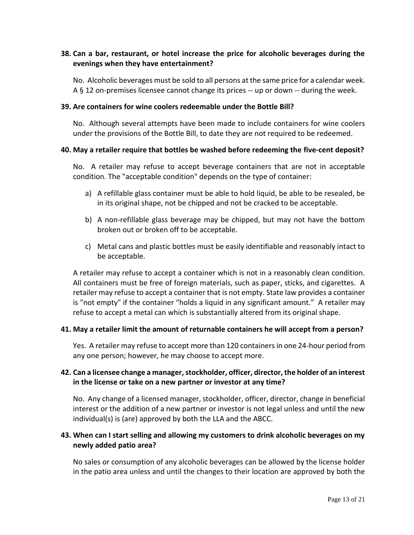# **38. Can a bar, restaurant, or hotel increase the price for alcoholic beverages during the evenings when they have entertainment?**

No. Alcoholic beverages must be sold to all persons at the same price for a calendar week. A § 12 on-premises licensee cannot change its prices -- up or down -- during the week.

#### **39. Are containers for wine coolers redeemable under the Bottle Bill?**

No. Although several attempts have been made to include containers for wine coolers under the provisions of the Bottle Bill, to date they are not required to be redeemed.

### **40. May a retailer require that bottles be washed before redeeming the five-cent deposit?**

No. A retailer may refuse to accept beverage containers that are not in acceptable condition. The "acceptable condition" depends on the type of container:

- a) A refillable glass container must be able to hold liquid, be able to be resealed, be in its original shape, not be chipped and not be cracked to be acceptable.
- b) A non-refillable glass beverage may be chipped, but may not have the bottom broken out or broken off to be acceptable.
- c) Metal cans and plastic bottles must be easily identifiable and reasonably intact to be acceptable.

A retailer may refuse to accept a container which is not in a reasonably clean condition. All containers must be free of foreign materials, such as paper, sticks, and cigarettes. A retailer may refuse to accept a container that is not empty. State law provides a container is "not empty" if the container "holds a liquid in any significant amount." A retailer may refuse to accept a metal can which is substantially altered from its original shape.

## **41. May a retailer limit the amount of returnable containers he will accept from a person?**

Yes. A retailer may refuse to accept more than 120 containers in one 24-hour period from any one person; however, he may choose to accept more.

# **42. Can a licensee change a manager, stockholder, officer, director, the holder of an interest in the license or take on a new partner or investor at any time?**

No. Any change of a licensed manager, stockholder, officer, director, change in beneficial interest or the addition of a new partner or investor is not legal unless and until the new individual(s) is (are) approved by both the LLA and the ABCC.

# **43. When can I start selling and allowing my customers to drink alcoholic beverages on my newly added patio area?**

No sales or consumption of any alcoholic beverages can be allowed by the license holder in the patio area unless and until the changes to their location are approved by both the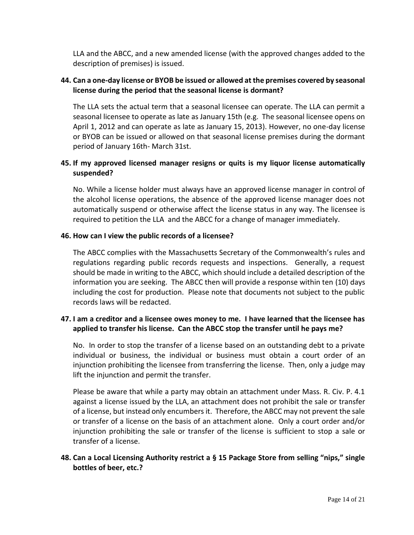LLA and the ABCC, and a new amended license (with the approved changes added to the description of premises) is issued.

## **44. Can a one-day license or BYOB be issued or allowed at the premises covered by seasonal license during the period that the seasonal license is dormant?**

The LLA sets the actual term that a seasonal licensee can operate. The LLA can permit a seasonal licensee to operate as late as January 15th (e.g. The seasonal licensee opens on April 1, 2012 and can operate as late as January 15, 2013). However, no one-day license or BYOB can be issued or allowed on that seasonal license premises during the dormant period of January 16th- March 31st.

# **45. If my approved licensed manager resigns or quits is my liquor license automatically suspended?**

No. While a license holder must always have an approved license manager in control of the alcohol license operations, the absence of the approved license manager does not automatically suspend or otherwise affect the license status in any way. The licensee is required to petition the LLA and the ABCC for a change of manager immediately.

## **46. How can I view the public records of a licensee?**

The ABCC complies with the Massachusetts Secretary of the Commonwealth's rules and regulations regarding public records requests and inspections. Generally, a request should be made in writing to the ABCC, which should include a detailed description of the information you are seeking. The ABCC then will provide a response within ten (10) days including the cost for production. Please note that documents not subject to the public records laws will be redacted.

# **47. I am a creditor and a licensee owes money to me. I have learned that the licensee has applied to transfer his license. Can the ABCC stop the transfer until he pays me?**

No. In order to stop the transfer of a license based on an outstanding debt to a private individual or business, the individual or business must obtain a court order of an injunction prohibiting the licensee from transferring the license. Then, only a judge may lift the injunction and permit the transfer.

Please be aware that while a party may obtain an attachment under Mass. R. Civ. P. 4.1 against a license issued by the LLA, an attachment does not prohibit the sale or transfer of a license, but instead only encumbers it. Therefore, the ABCC may not prevent the sale or transfer of a license on the basis of an attachment alone. Only a court order and/or injunction prohibiting the sale or transfer of the license is sufficient to stop a sale or transfer of a license.

# **48. Can a Local Licensing Authority restrict a § 15 Package Store from selling "nips," single bottles of beer, etc.?**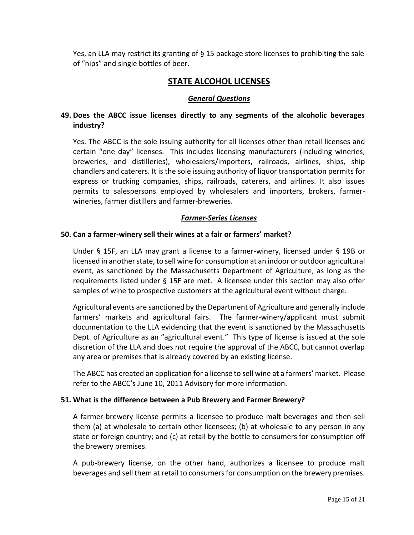Yes, an LLA may restrict its granting of § 15 package store licenses to prohibiting the sale of "nips" and single bottles of beer.

# **STATE ALCOHOL LICENSES**

### *General Questions*

# **49. Does the ABCC issue licenses directly to any segments of the alcoholic beverages industry?**

Yes. The ABCC is the sole issuing authority for all licenses other than retail licenses and certain "one day" licenses. This includes licensing manufacturers (including wineries, breweries, and distilleries), wholesalers/importers, railroads, airlines, ships, ship chandlers and caterers. It is the sole issuing authority of liquor transportation permits for express or trucking companies, ships, railroads, caterers, and airlines. It also issues permits to salespersons employed by wholesalers and importers, brokers, farmerwineries, farmer distillers and farmer-breweries.

### *Farmer-Series Licenses*

### **50. Can a farmer-winery sell their wines at a fair or farmers' market?**

Under § 15F, an LLA may grant a license to a farmer-winery, licensed under § 19B or licensed in another state, to sell wine for consumption at an indoor or outdoor agricultural event, as sanctioned by the Massachusetts Department of Agriculture, as long as the requirements listed under § 15F are met. A licensee under this section may also offer samples of wine to prospective customers at the agricultural event without charge.

Agricultural events are sanctioned by the Department of Agriculture and generally include farmers' markets and agricultural fairs. The farmer-winery/applicant must submit documentation to the LLA evidencing that the event is sanctioned by the Massachusetts Dept. of Agriculture as an "agricultural event." This type of license is issued at the sole discretion of the LLA and does not require the approval of the ABCC, but cannot overlap any area or premises that is already covered by an existing license.

The ABCC has created an application for a license to sell wine at a farmers' market. Please refer to the ABCC's June 10, 2011 Advisory for more information.

#### **51. What is the difference between a Pub Brewery and Farmer Brewery?**

A farmer-brewery license permits a licensee to produce malt beverages and then sell them (a) at wholesale to certain other licensees; (b) at wholesale to any person in any state or foreign country; and (c) at retail by the bottle to consumers for consumption off the brewery premises.

A pub-brewery license, on the other hand, authorizes a licensee to produce malt beverages and sell them at retail to consumers for consumption on the brewery premises.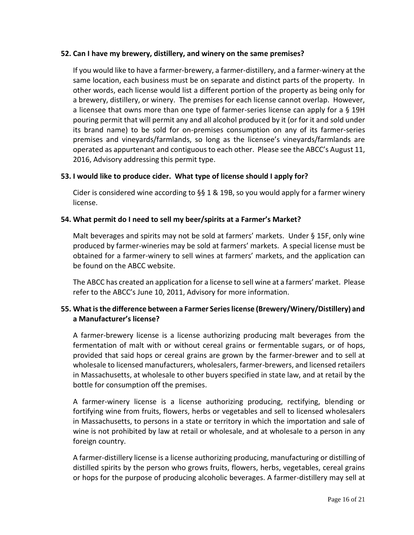## **52. Can I have my brewery, distillery, and winery on the same premises?**

If you would like to have a farmer-brewery, a farmer-distillery, and a farmer-winery at the same location, each business must be on separate and distinct parts of the property. In other words, each license would list a different portion of the property as being only for a brewery, distillery, or winery. The premises for each license cannot overlap. However, a licensee that owns more than one type of farmer-series license can apply for a § 19H pouring permit that will permit any and all alcohol produced by it (or for it and sold under its brand name) to be sold for on-premises consumption on any of its farmer-series premises and vineyards/farmlands, so long as the licensee's vineyards/farmlands are operated as appurtenant and contiguous to each other. Please see the ABCC's August 11, 2016, Advisory addressing this permit type.

# **53. I would like to produce cider. What type of license should I apply for?**

Cider is considered wine according to §§ 1 & 19B, so you would apply for a farmer winery license.

# **54. What permit do I need to sell my beer/spirits at a Farmer's Market?**

Malt beverages and spirits may not be sold at farmers' markets. Under § 15F, only wine produced by farmer-wineries may be sold at farmers' markets. A special license must be obtained for a farmer-winery to sell wines at farmers' markets, and the application can be found on the ABCC website.

The ABCC has created an application for a license to sell wine at a farmers' market. Please refer to the ABCC's June 10, 2011, Advisory for more information.

# **55. What is the difference between a Farmer Series license (Brewery/Winery/Distillery) and a Manufacturer's license?**

A farmer-brewery license is a license authorizing producing malt beverages from the fermentation of malt with or without cereal grains or fermentable sugars, or of hops, provided that said hops or cereal grains are grown by the farmer-brewer and to sell at wholesale to licensed manufacturers, wholesalers, farmer-brewers, and licensed retailers in Massachusetts, at wholesale to other buyers specified in state law, and at retail by the bottle for consumption off the premises.

A farmer-winery license is a license authorizing producing, rectifying, blending or fortifying wine from fruits, flowers, herbs or vegetables and sell to licensed wholesalers in Massachusetts, to persons in a state or territory in which the importation and sale of wine is not prohibited by law at retail or wholesale, and at wholesale to a person in any foreign country.

A farmer-distillery license is a license authorizing producing, manufacturing or distilling of distilled spirits by the person who grows fruits, flowers, herbs, vegetables, cereal grains or hops for the purpose of producing alcoholic beverages. A farmer-distillery may sell at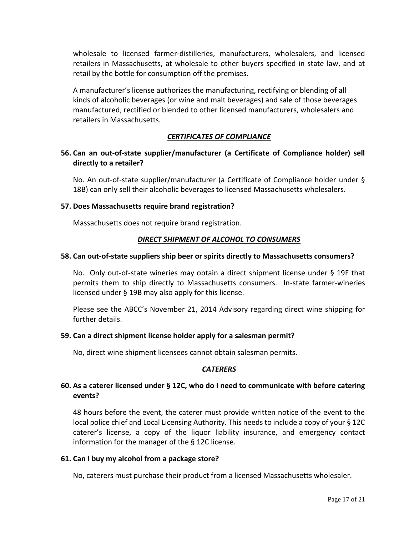wholesale to licensed farmer-distilleries, manufacturers, wholesalers, and licensed retailers in Massachusetts, at wholesale to other buyers specified in state law, and at retail by the bottle for consumption off the premises.

A manufacturer's license authorizes the manufacturing, rectifying or blending of all kinds of alcoholic beverages (or wine and malt beverages) and sale of those beverages manufactured, rectified or blended to other licensed manufacturers, wholesalers and retailers in Massachusetts.

# *CERTIFICATES OF COMPLIANCE*

## **56. Can an out-of-state supplier/manufacturer (a Certificate of Compliance holder) sell directly to a retailer?**

No. An out-of-state supplier/manufacturer (a Certificate of Compliance holder under § 18B) can only sell their alcoholic beverages to licensed Massachusetts wholesalers.

### **57. Does Massachusetts require brand registration?**

Massachusetts does not require brand registration.

## *DIRECT SHIPMENT OF ALCOHOL TO CONSUMERS*

#### **58. Can out-of-state suppliers ship beer or spirits directly to Massachusetts consumers?**

No. Only out-of-state wineries may obtain a direct shipment license under § 19F that permits them to ship directly to Massachusetts consumers. In-state farmer-wineries licensed under § 19B may also apply for this license.

Please see the ABCC's November 21, 2014 Advisory regarding direct wine shipping for further details.

### **59. Can a direct shipment license holder apply for a salesman permit?**

No, direct wine shipment licensees cannot obtain salesman permits.

## *CATERERS*

## **60. As a caterer licensed under § 12C, who do I need to communicate with before catering events?**

48 hours before the event, the caterer must provide written notice of the event to the local police chief and Local Licensing Authority. This needs to include a copy of your § 12C caterer's license, a copy of the liquor liability insurance, and emergency contact information for the manager of the § 12C license.

#### **61. Can I buy my alcohol from a package store?**

No, caterers must purchase their product from a licensed Massachusetts wholesaler.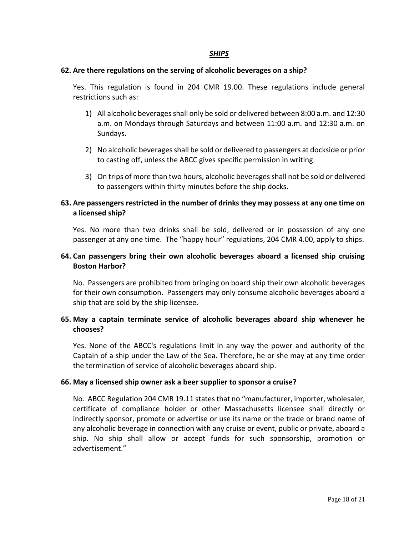## *SHIPS*

### **62. Are there regulations on the serving of alcoholic beverages on a ship?**

Yes. This regulation is found in 204 CMR 19.00. These regulations include general restrictions such as:

- 1) All alcoholic beverages shall only be sold or delivered between 8:00 a.m. and 12:30 a.m. on Mondays through Saturdays and between 11:00 a.m. and 12:30 a.m. on Sundays.
- 2) No alcoholic beverages shall be sold or delivered to passengers at dockside or prior to casting off, unless the ABCC gives specific permission in writing.
- 3) On trips of more than two hours, alcoholic beverages shall not be sold or delivered to passengers within thirty minutes before the ship docks.

# **63. Are passengers restricted in the number of drinks they may possess at any one time on a licensed ship?**

Yes. No more than two drinks shall be sold, delivered or in possession of any one passenger at any one time. The "happy hour" regulations, 204 CMR 4.00, apply to ships.

## **64. Can passengers bring their own alcoholic beverages aboard a licensed ship cruising Boston Harbor?**

No. Passengers are prohibited from bringing on board ship their own alcoholic beverages for their own consumption. Passengers may only consume alcoholic beverages aboard a ship that are sold by the ship licensee.

# **65. May a captain terminate service of alcoholic beverages aboard ship whenever he chooses?**

Yes. None of the ABCC's regulations limit in any way the power and authority of the Captain of a ship under the Law of the Sea. Therefore, he or she may at any time order the termination of service of alcoholic beverages aboard ship.

## **66. May a licensed ship owner ask a beer supplier to sponsor a cruise?**

No. ABCC Regulation 204 CMR 19.11 states that no "manufacturer, importer, wholesaler, certificate of compliance holder or other Massachusetts licensee shall directly or indirectly sponsor, promote or advertise or use its name or the trade or brand name of any alcoholic beverage in connection with any cruise or event, public or private, aboard a ship. No ship shall allow or accept funds for such sponsorship, promotion or advertisement."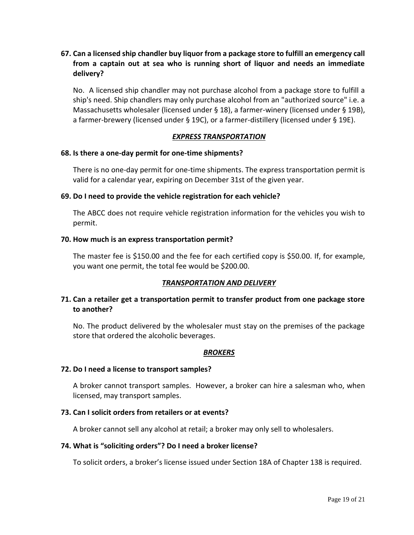# **67. Can a licensed ship chandler buy liquor from a package store to fulfill an emergency call from a captain out at sea who is running short of liquor and needs an immediate delivery?**

No. A licensed ship chandler may not purchase alcohol from a package store to fulfill a ship's need. Ship chandlers may only purchase alcohol from an "authorized source" i.e. a Massachusetts wholesaler (licensed under § 18), a farmer-winery (licensed under § 19B), a farmer-brewery (licensed under § 19C), or a farmer-distillery (licensed under § 19E).

### *EXPRESS TRANSPORTATION*

#### **68. Is there a one-day permit for one-time shipments?**

There is no one-day permit for one-time shipments. The express transportation permit is valid for a calendar year, expiring on December 31st of the given year.

### **69. Do I need to provide the vehicle registration for each vehicle?**

The ABCC does not require vehicle registration information for the vehicles you wish to permit.

### **70. How much is an express transportation permit?**

The master fee is \$150.00 and the fee for each certified copy is \$50.00. If, for example, you want one permit, the total fee would be \$200.00.

## *TRANSPORTATION AND DELIVERY*

# **71. Can a retailer get a transportation permit to transfer product from one package store to another?**

No. The product delivered by the wholesaler must stay on the premises of the package store that ordered the alcoholic beverages.

## *BROKERS*

#### **72. Do I need a license to transport samples?**

A broker cannot transport samples. However, a broker can hire a salesman who, when licensed, may transport samples.

## **73. Can I solicit orders from retailers or at events?**

A broker cannot sell any alcohol at retail; a broker may only sell to wholesalers.

#### **74. What is "soliciting orders"? Do I need a broker license?**

To solicit orders, a broker's license issued under Section 18A of Chapter 138 is required.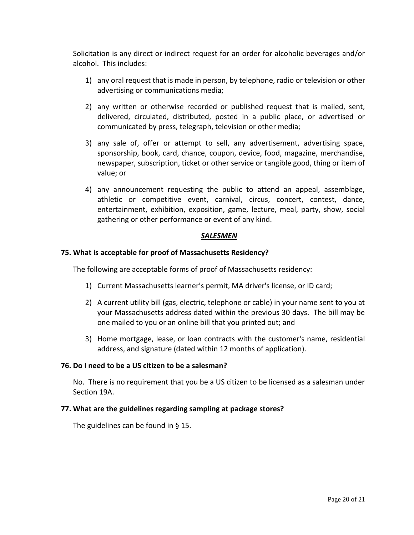Solicitation is any direct or indirect request for an order for alcoholic beverages and/or alcohol. This includes:

- 1) any oral request that is made in person, by telephone, radio or television or other advertising or communications media;
- 2) any written or otherwise recorded or published request that is mailed, sent, delivered, circulated, distributed, posted in a public place, or advertised or communicated by press, telegraph, television or other media;
- 3) any sale of, offer or attempt to sell, any advertisement, advertising space, sponsorship, book, card, chance, coupon, device, food, magazine, merchandise, newspaper, subscription, ticket or other service or tangible good, thing or item of value; or
- 4) any announcement requesting the public to attend an appeal, assemblage, athletic or competitive event, carnival, circus, concert, contest, dance, entertainment, exhibition, exposition, game, lecture, meal, party, show, social gathering or other performance or event of any kind.

### *SALESMEN*

### **75. What is acceptable for proof of Massachusetts Residency?**

The following are acceptable forms of proof of Massachusetts residency:

- 1) Current Massachusetts learner's permit, MA driver's license, or ID card;
- 2) A current utility bill (gas, electric, telephone or cable) in your name sent to you at your Massachusetts address dated within the previous 30 days. The bill may be one mailed to you or an online bill that you printed out; and
- 3) Home mortgage, lease, or loan contracts with the customer's name, residential address, and signature (dated within 12 months of application).

#### **76. Do I need to be a US citizen to be a salesman?**

No. There is no requirement that you be a US citizen to be licensed as a salesman under Section 19A.

#### **77. What are the guidelines regarding sampling at package stores?**

The guidelines can be found in § 15.